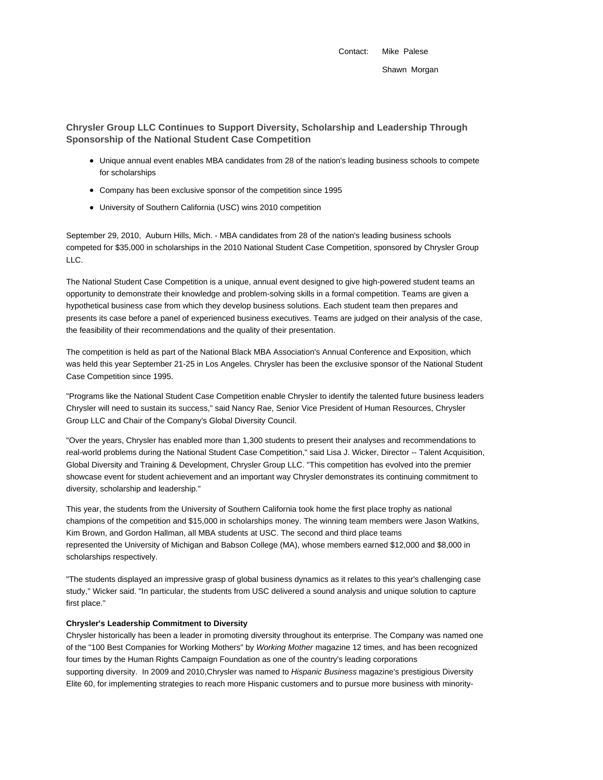Contact: Mike Palese Shawn Morgan

**Chrysler Group LLC Continues to Support Diversity, Scholarship and Leadership Through Sponsorship of the National Student Case Competition**

- Unique annual event enables MBA candidates from 28 of the nation's leading business schools to compete for scholarships
- Company has been exclusive sponsor of the competition since 1995
- University of Southern California (USC) wins 2010 competition

September 29, 2010, Auburn Hills, Mich. - MBA candidates from 28 of the nation's leading business schools competed for \$35,000 in scholarships in the 2010 National Student Case Competition, sponsored by Chrysler Group LLC.

The National Student Case Competition is a unique, annual event designed to give high-powered student teams an opportunity to demonstrate their knowledge and problem-solving skills in a formal competition. Teams are given a hypothetical business case from which they develop business solutions. Each student team then prepares and presents its case before a panel of experienced business executives. Teams are judged on their analysis of the case, the feasibility of their recommendations and the quality of their presentation.

The competition is held as part of the National Black MBA Association's Annual Conference and Exposition, which was held this year September 21-25 in Los Angeles. Chrysler has been the exclusive sponsor of the National Student Case Competition since 1995.

"Programs like the National Student Case Competition enable Chrysler to identify the talented future business leaders Chrysler will need to sustain its success," said Nancy Rae, Senior Vice President of Human Resources, Chrysler Group LLC and Chair of the Company's Global Diversity Council.

"Over the years, Chrysler has enabled more than 1,300 students to present their analyses and recommendations to real-world problems during the National Student Case Competition," said Lisa J. Wicker, Director -- Talent Acquisition, Global Diversity and Training & Development, Chrysler Group LLC. "This competition has evolved into the premier showcase event for student achievement and an important way Chrysler demonstrates its continuing commitment to diversity, scholarship and leadership."

This year, the students from the University of Southern California took home the first place trophy as national champions of the competition and \$15,000 in scholarships money. The winning team members were Jason Watkins, Kim Brown, and Gordon Hallman, all MBA students at USC. The second and third place teams represented the University of Michigan and Babson College (MA), whose members earned \$12,000 and \$8,000 in scholarships respectively.

"The students displayed an impressive grasp of global business dynamics as it relates to this year's challenging case study," Wicker said. "In particular, the students from USC delivered a sound analysis and unique solution to capture first place."

## **Chrysler's Leadership Commitment to Diversity**

Chrysler historically has been a leader in promoting diversity throughout its enterprise. The Company was named one of the "100 Best Companies for Working Mothers" by Working Mother magazine 12 times, and has been recognized four times by the Human Rights Campaign Foundation as one of the country's leading corporations supporting diversity. In 2009 and 2010, Chrysler was named to Hispanic Business magazine's prestigious Diversity Elite 60, for implementing strategies to reach more Hispanic customers and to pursue more business with minority